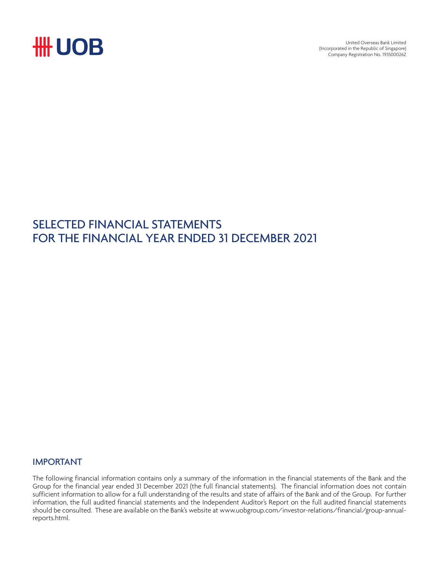

United Overseas Bank Limited (Incorporated in the Republic of Singapore) Company Registration No. 193500026Z

## SELECTED FINANCIAL STATEMENTS FOR THE FINANCIAL YEAR ENDED 31 DECEMBER 2021

### IMPORTANT

The following financial information contains only a summary of the information in the financial statements of the Bank and the Group for the financial year ended 31 December 2021 (the full financial statements). The financial information does not contain sufficient information to allow for a full understanding of the results and state of affairs of the Bank and of the Group. For further information, the full audited financial statements and the Independent Auditor's Report on the full audited financial statements should be consulted. These are available on the Bank's website at [www.uobgroup.com/investor-relations/financial/group-annual](www.uobgroup.com/investor-relations/financial/group-annual-reports.html)[reports.html.](www.uobgroup.com/investor-relations/financial/group-annual-reports.html)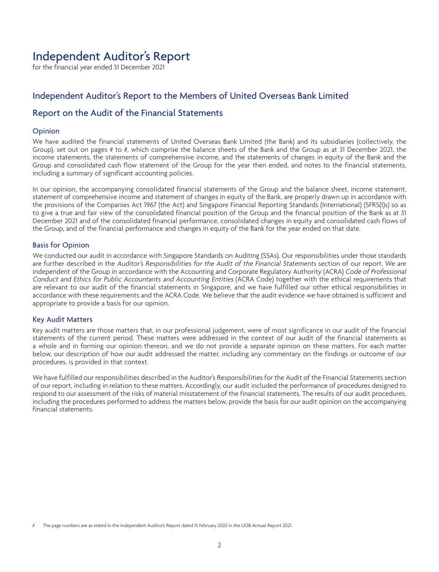## Independent Auditor's Report

for the financial year ended 31 December 2021

## Independent Auditor's Report to the Members of United Overseas Bank Limited

### Report on the Audit of the Financial Statements

#### Opinion

We have audited the financial statements of United Overseas Bank Limited (the Bank) and its subsidiaries (collectively, the Group), set out on pages # to #, which comprise the balance sheets of the Bank and the Group as at 31 December 2021, the income statements, the statements of comprehensive income, and the statements of changes in equity of the Bank and the Group and consolidated cash flow statement of the Group for the year then ended, and notes to the financial statements, including a summary of significant accounting policies.

In our opinion, the accompanying consolidated financial statements of the Group and the balance sheet, income statement, statement of comprehensive income and statement of changes in equity of the Bank, are properly drawn up in accordance with the provisions of the Companies Act 1967 (the Act) and Singapore Financial Reporting Standards (International) (SFRS(I)s) so as to give a true and fair view of the consolidated financial position of the Group and the financial position of the Bank as at 31 December 2021 and of the consolidated financial performance, consolidated changes in equity and consolidated cash flows of the Group, and of the financial performance and changes in equity of the Bank for the year ended on that date.

#### Basis for Opinion

We conducted our audit in accordance with Singapore Standards on Auditing (SSAs). Our responsibilities under those standards are further described in the Auditor's Responsibilities for the Audit of the Financial Statements section of our report. We are independent of the Group in accordance with the Accounting and Corporate Regulatory Authority (ACRA) Code of Professional Conduct and Ethics for Public Accountants and Accounting Entities (ACRA Code) together with the ethical requirements that are relevant to our audit of the financial statements in Singapore, and we have fulfilled our other ethical responsibilities in accordance with these requirements and the ACRA Code. We believe that the audit evidence we have obtained is sufficient and appropriate to provide a basis for our opinion.

#### Key Audit Matters

Key audit matters are those matters that, in our professional judgement, were of most significance in our audit of the financial statements of the current period. These matters were addressed in the context of our audit of the financial statements as a whole and in forming our opinion thereon, and we do not provide a separate opinion on these matters. For each matter below, our description of how our audit addressed the matter, including any commentary on the findings or outcome of our procedures, is provided in that context.

We have fulfilled our responsibilities described in the Auditor's Responsibilities for the Audit of the Financial Statements section of our report, including in relation to these matters. Accordingly, our audit included the performance of procedures designed to respond to our assessment of the risks of material misstatement of the financial statements. The results of our audit procedures, including the procedures performed to address the matters below, provide the basis for our audit opinion on the accompanying financial statements.

The page numbers are as stated in the Independent Auditor's Report dated 15 February 2022 in the UOB Annual Report 2021.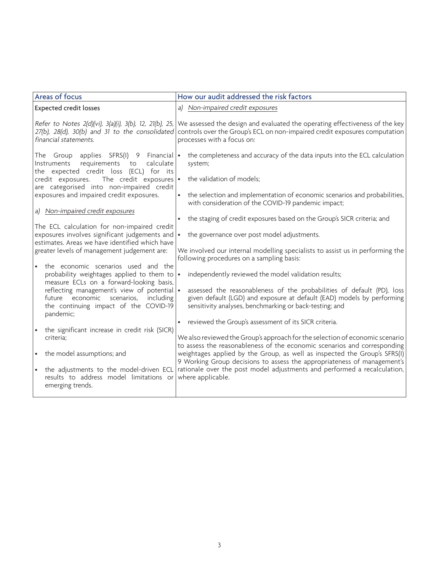| Areas of focus                                                                                                                                   | How our audit addressed the risk factors                                                                                                                                                                    |
|--------------------------------------------------------------------------------------------------------------------------------------------------|-------------------------------------------------------------------------------------------------------------------------------------------------------------------------------------------------------------|
| <b>Expected credit losses</b>                                                                                                                    | a) Non-impaired credit exposures                                                                                                                                                                            |
| Refer to Notes 2(d)(vi), 3(a)(i), 3(b), 12, 21(b), 25,<br>27(b), 28(d), 30(b) and 31 to the consolidated<br>financial statements.                | We assessed the design and evaluated the operating effectiveness of the key<br>controls over the Group's ECL on non-impaired credit exposures computation<br>processes with a focus on:                     |
| The Group applies SFRS(I) 9 Financial $\bullet$<br>requirements to<br>Instruments<br>calculate<br>the expected credit loss (ECL) for its         | the completeness and accuracy of the data inputs into the ECL calculation<br>system;                                                                                                                        |
| The credit exposures $\cdot$<br>credit exposures.<br>are categorised into non-impaired credit                                                    | the validation of models;                                                                                                                                                                                   |
| exposures and impaired credit exposures.                                                                                                         | the selection and implementation of economic scenarios and probabilities,<br>with consideration of the COVID-19 pandemic impact;                                                                            |
| a) Non-impaired credit exposures                                                                                                                 | the staging of credit exposures based on the Group's SICR criteria; and                                                                                                                                     |
| The ECL calculation for non-impaired credit<br>exposures involves significant judgements and •<br>estimates. Areas we have identified which have | the governance over post model adjustments.                                                                                                                                                                 |
| greater levels of management judgement are:                                                                                                      | We involved our internal modelling specialists to assist us in performing the<br>following procedures on a sampling basis:                                                                                  |
| the economic scenarios used and the<br>$\bullet$<br>probability weightages applied to them to<br>measure ECLs on a forward-looking basis,        | independently reviewed the model validation results;<br>$\bullet$                                                                                                                                           |
| reflecting management's view of potential .<br>future economic<br>scenarios,<br>including<br>the continuing impact of the COVID-19<br>pandemic;  | assessed the reasonableness of the probabilities of default (PD), loss<br>given default (LGD) and exposure at default (EAD) models by performing<br>sensitivity analyses, benchmarking or back-testing; and |
|                                                                                                                                                  | reviewed the Group's assessment of its SICR criteria.                                                                                                                                                       |
| the significant increase in credit risk (SICR)<br>criteria;                                                                                      | We also reviewed the Group's approach for the selection of economic scenario                                                                                                                                |
| the model assumptions; and<br>$\bullet$                                                                                                          | to assess the reasonableness of the economic scenarios and corresponding<br>weightages applied by the Group, as well as inspected the Group's SFRS(I)                                                       |
| the adjustments to the model-driven ECL<br>$\bullet$<br>results to address model limitations or<br>emerging trends.                              | 9 Working Group decisions to assess the appropriateness of management's<br>rationale over the post model adjustments and performed a recalculation,<br>where applicable.                                    |
|                                                                                                                                                  |                                                                                                                                                                                                             |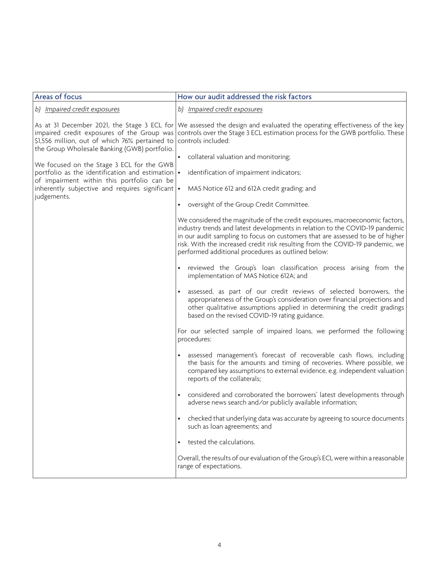| Areas of focus                                                                                                                                                                              | How our audit addressed the risk factors                                                                                                                                                                                                                                                                                                                                            |
|---------------------------------------------------------------------------------------------------------------------------------------------------------------------------------------------|-------------------------------------------------------------------------------------------------------------------------------------------------------------------------------------------------------------------------------------------------------------------------------------------------------------------------------------------------------------------------------------|
| b) Impaired credit exposures                                                                                                                                                                | b) Impaired credit exposures                                                                                                                                                                                                                                                                                                                                                        |
| As at 31 December 2021, the Stage 3 ECL for<br>impaired credit exposures of the Group was<br>\$1,556 million, out of which 76% pertained to<br>the Group Wholesale Banking (GWB) portfolio. | We assessed the design and evaluated the operating effectiveness of the key<br>controls over the Stage 3 ECL estimation process for the GWB portfolio. These<br>controls included:                                                                                                                                                                                                  |
|                                                                                                                                                                                             | collateral valuation and monitoring;                                                                                                                                                                                                                                                                                                                                                |
| We focused on the Stage 3 ECL for the GWB<br>portfolio as the identification and estimation $\cdot$<br>of impairment within this portfolio can be                                           | identification of impairment indicators;                                                                                                                                                                                                                                                                                                                                            |
| inherently subjective and requires significant $\cdot$<br>judgements.                                                                                                                       | MAS Notice 612 and 612A credit grading; and                                                                                                                                                                                                                                                                                                                                         |
|                                                                                                                                                                                             | oversight of the Group Credit Committee.<br>$\bullet$                                                                                                                                                                                                                                                                                                                               |
|                                                                                                                                                                                             | We considered the magnitude of the credit exposures, macroeconomic factors,<br>industry trends and latest developments in relation to the COVID-19 pandemic<br>in our audit sampling to focus on customers that are assessed to be of higher<br>risk. With the increased credit risk resulting from the COVID-19 pandemic, we<br>performed additional procedures as outlined below: |
|                                                                                                                                                                                             | reviewed the Group's loan classification process arising from the<br>implementation of MAS Notice 612A; and                                                                                                                                                                                                                                                                         |
|                                                                                                                                                                                             | assessed, as part of our credit reviews of selected borrowers, the<br>$\bullet$<br>appropriateness of the Group's consideration over financial projections and<br>other qualitative assumptions applied in determining the credit gradings<br>based on the revised COVID-19 rating guidance.                                                                                        |
|                                                                                                                                                                                             | For our selected sample of impaired loans, we performed the following<br>procedures:                                                                                                                                                                                                                                                                                                |
|                                                                                                                                                                                             | assessed management's forecast of recoverable cash flows, including<br>the basis for the amounts and timing of recoveries. Where possible, we<br>compared key assumptions to external evidence, e.g. independent valuation<br>reports of the collaterals;                                                                                                                           |
|                                                                                                                                                                                             | considered and corroborated the borrowers' latest developments through<br>$\bullet$<br>adverse news search and/or publicly available information;                                                                                                                                                                                                                                   |
|                                                                                                                                                                                             | checked that underlying data was accurate by agreeing to source documents<br>such as loan agreements; and                                                                                                                                                                                                                                                                           |
|                                                                                                                                                                                             | tested the calculations.                                                                                                                                                                                                                                                                                                                                                            |
|                                                                                                                                                                                             | Overall, the results of our evaluation of the Group's ECL were within a reasonable<br>range of expectations.                                                                                                                                                                                                                                                                        |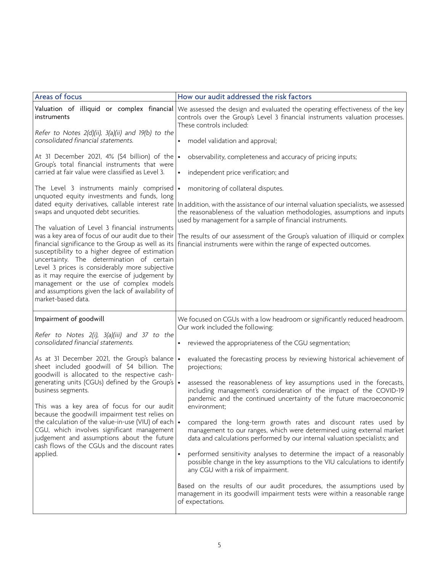| Areas of focus                                                                                                                                                                                                                                                                                                                                                                                                                                                                      | How our audit addressed the risk factors                                                                                                                                                                                           |
|-------------------------------------------------------------------------------------------------------------------------------------------------------------------------------------------------------------------------------------------------------------------------------------------------------------------------------------------------------------------------------------------------------------------------------------------------------------------------------------|------------------------------------------------------------------------------------------------------------------------------------------------------------------------------------------------------------------------------------|
| <i>instruments</i>                                                                                                                                                                                                                                                                                                                                                                                                                                                                  | Valuation of illiquid or complex financial We assessed the design and evaluated the operating effectiveness of the key<br>controls over the Group's Level 3 financial instruments valuation processes.<br>These controls included: |
| Refer to Notes 2(d)(ii), 3(a)(ii) and 19(b) to the<br>consolidated financial statements.                                                                                                                                                                                                                                                                                                                                                                                            | model validation and approval;<br>$\bullet$                                                                                                                                                                                        |
| At 31 December 2021, 4% (\$4 billion) of the $\cdot$<br>Group's total financial instruments that were                                                                                                                                                                                                                                                                                                                                                                               | observability, completeness and accuracy of pricing inputs;                                                                                                                                                                        |
| carried at fair value were classified as Level 3.                                                                                                                                                                                                                                                                                                                                                                                                                                   | independent price verification; and<br>$\bullet$                                                                                                                                                                                   |
| The Level 3 instruments mainly comprised<br>unquoted equity investments and funds, long                                                                                                                                                                                                                                                                                                                                                                                             | monitoring of collateral disputes.<br>$\bullet$                                                                                                                                                                                    |
| dated equity derivatives, callable interest rate<br>swaps and unquoted debt securities.                                                                                                                                                                                                                                                                                                                                                                                             | In addition, with the assistance of our internal valuation specialists, we assessed<br>the reasonableness of the valuation methodologies, assumptions and inputs<br>used by management for a sample of financial instruments.      |
| The valuation of Level 3 financial instruments<br>was a key area of focus of our audit due to their<br>financial significance to the Group as well as its<br>susceptibility to a higher degree of estimation<br>uncertainty. The determination of certain<br>Level 3 prices is considerably more subjective<br>as it may require the exercise of judgement by<br>management or the use of complex models<br>and assumptions given the lack of availability of<br>market-based data. | The results of our assessment of the Group's valuation of illiquid or complex<br>financial instruments were within the range of expected outcomes.                                                                                 |
| Impairment of goodwill                                                                                                                                                                                                                                                                                                                                                                                                                                                              | We focused on CGUs with a low headroom or significantly reduced headroom.<br>Our work included the following:                                                                                                                      |
| Refer to Notes 2(i), 3(a)(iii) and 37 to the<br>consolidated financial statements.                                                                                                                                                                                                                                                                                                                                                                                                  | reviewed the appropriateness of the CGU segmentation;<br>$\bullet$                                                                                                                                                                 |
| As at 31 December 2021, the Group's balance<br>sheet included goodwill of \$4 billion. The<br>goodwill is allocated to the respective cash-                                                                                                                                                                                                                                                                                                                                         | evaluated the forecasting process by reviewing historical achievement of<br>projections;                                                                                                                                           |
| generating units (CGUs) defined by the Group's<br>business segments.                                                                                                                                                                                                                                                                                                                                                                                                                | assessed the reasonableness of key assumptions used in the forecasts,<br>including management's consideration of the impact of the COVID-19<br>pandemic and the continued uncertainty of the future macroeconomic                  |
| This was a key area of focus for our audit<br>because the goodwill impairment test relies on                                                                                                                                                                                                                                                                                                                                                                                        | environment:                                                                                                                                                                                                                       |
| the calculation of the value-in-use (VIU) of each $\cdot$<br>CGU, which involves significant management<br>judgement and assumptions about the future<br>cash flows of the CGUs and the discount rates<br>applied.                                                                                                                                                                                                                                                                  | compared the long-term growth rates and discount rates used by<br>management to our ranges, which were determined using external market<br>data and calculations performed by our internal valuation specialists; and              |
|                                                                                                                                                                                                                                                                                                                                                                                                                                                                                     | performed sensitivity analyses to determine the impact of a reasonably<br>possible change in the key assumptions to the VIU calculations to identify<br>any CGU with a risk of impairment.                                         |
|                                                                                                                                                                                                                                                                                                                                                                                                                                                                                     | Based on the results of our audit procedures, the assumptions used by<br>management in its goodwill impairment tests were within a reasonable range<br>of expectations.                                                            |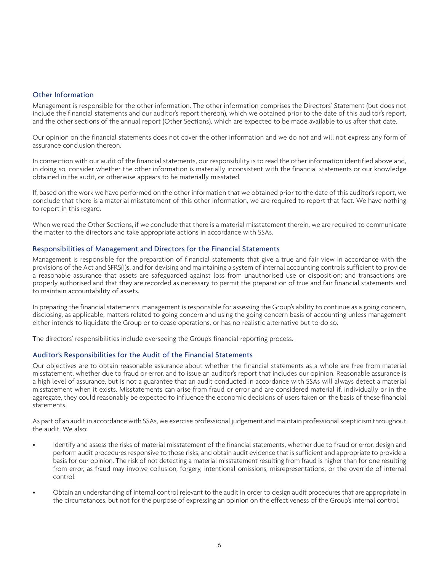#### Other Information

Management is responsible for the other information. The other information comprises the Directors' Statement (but does not include the financial statements and our auditor's report thereon), which we obtained prior to the date of this auditor's report, and the other sections of the annual report (Other Sections), which are expected to be made available to us after that date.

Our opinion on the financial statements does not cover the other information and we do not and will not express any form of assurance conclusion thereon.

In connection with our audit of the financial statements, our responsibility is to read the other information identified above and, in doing so, consider whether the other information is materially inconsistent with the financial statements or our knowledge obtained in the audit, or otherwise appears to be materially misstated.

If, based on the work we have performed on the other information that we obtained prior to the date of this auditor's report, we conclude that there is a material misstatement of this other information, we are required to report that fact. We have nothing to report in this regard.

When we read the Other Sections, if we conclude that there is a material misstatement therein, we are required to communicate the matter to the directors and take appropriate actions in accordance with SSAs.

#### Responsibilities of Management and Directors for the Financial Statements

Management is responsible for the preparation of financial statements that give a true and fair view in accordance with the provisions of the Act and SFRS(I)s, and for devising and maintaining a system of internal accounting controls sufficient to provide a reasonable assurance that assets are safeguarded against loss from unauthorised use or disposition; and transactions are properly authorised and that they are recorded as necessary to permit the preparation of true and fair financial statements and to maintain accountability of assets.

In preparing the financial statements, management is responsible for assessing the Group's ability to continue as a going concern, disclosing, as applicable, matters related to going concern and using the going concern basis of accounting unless management either intends to liquidate the Group or to cease operations, or has no realistic alternative but to do so.

The directors' responsibilities include overseeing the Group's financial reporting process.

#### Auditor's Responsibilities for the Audit of the Financial Statements

Our objectives are to obtain reasonable assurance about whether the financial statements as a whole are free from material misstatement, whether due to fraud or error, and to issue an auditor's report that includes our opinion. Reasonable assurance is a high level of assurance, but is not a guarantee that an audit conducted in accordance with SSAs will always detect a material misstatement when it exists. Misstatements can arise from fraud or error and are considered material if, individually or in the aggregate, they could reasonably be expected to influence the economic decisions of users taken on the basis of these financial statements.

As part of an audit in accordance with SSAs, we exercise professional judgement and maintain professional scepticism throughout the audit. We also:

- Identify and assess the risks of material misstatement of the financial statements, whether due to fraud or error, design and perform audit procedures responsive to those risks, and obtain audit evidence that is sufficient and appropriate to provide a basis for our opinion. The risk of not detecting a material misstatement resulting from fraud is higher than for one resulting from error, as fraud may involve collusion, forgery, intentional omissions, misrepresentations, or the override of internal control.
- Obtain an understanding of internal control relevant to the audit in order to design audit procedures that are appropriate in the circumstances, but not for the purpose of expressing an opinion on the effectiveness of the Group's internal control.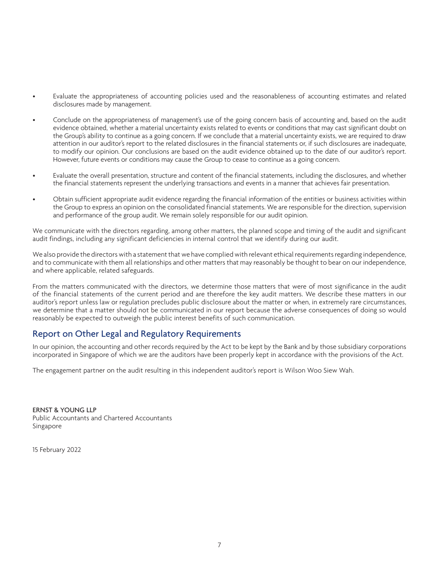- Evaluate the appropriateness of accounting policies used and the reasonableness of accounting estimates and related disclosures made by management.
- Conclude on the appropriateness of management's use of the going concern basis of accounting and, based on the audit evidence obtained, whether a material uncertainty exists related to events or conditions that may cast significant doubt on the Group's ability to continue as a going concern. If we conclude that a material uncertainty exists, we are required to draw attention in our auditor's report to the related disclosures in the financial statements or, if such disclosures are inadequate, to modify our opinion. Our conclusions are based on the audit evidence obtained up to the date of our auditor's report. However, future events or conditions may cause the Group to cease to continue as a going concern.
- Evaluate the overall presentation, structure and content of the financial statements, including the disclosures, and whether the financial statements represent the underlying transactions and events in a manner that achieves fair presentation.
- Obtain sufficient appropriate audit evidence regarding the financial information of the entities or business activities within the Group to express an opinion on the consolidated financial statements. We are responsible for the direction, supervision and performance of the group audit. We remain solely responsible for our audit opinion.

We communicate with the directors regarding, among other matters, the planned scope and timing of the audit and significant audit findings, including any significant deficiencies in internal control that we identify during our audit.

We also provide the directors with a statement that we have complied with relevant ethical requirements regarding independence, and to communicate with them all relationships and other matters that may reasonably be thought to bear on our independence, and where applicable, related safeguards.

From the matters communicated with the directors, we determine those matters that were of most significance in the audit of the financial statements of the current period and are therefore the key audit matters. We describe these matters in our auditor's report unless law or regulation precludes public disclosure about the matter or when, in extremely rare circumstances, we determine that a matter should not be communicated in our report because the adverse consequences of doing so would reasonably be expected to outweigh the public interest benefits of such communication.

## Report on Other Legal and Regulatory Requirements

In our opinion, the accounting and other records required by the Act to be kept by the Bank and by those subsidiary corporations incorporated in Singapore of which we are the auditors have been properly kept in accordance with the provisions of the Act.

The engagement partner on the audit resulting in this independent auditor's report is Wilson Woo Siew Wah.

ERNST & YOUNG LLP Public Accountants and Chartered Accountants Singapore

15 February 2022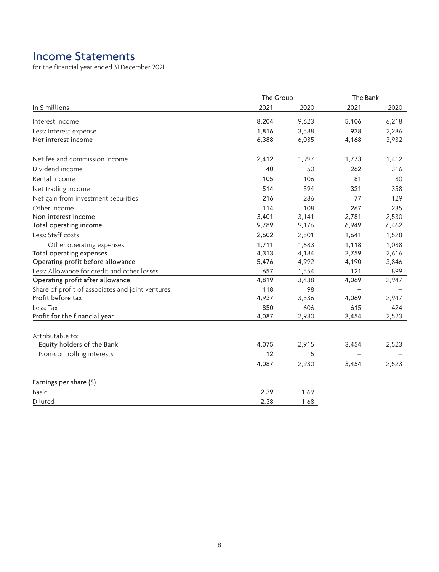# Income Statements

for the financial year ended 31 December 2021

|                                                  | The Group |       | The Bank |       |
|--------------------------------------------------|-----------|-------|----------|-------|
| In \$ millions                                   | 2021      | 2020  | 2021     | 2020  |
| Interest income                                  | 8,204     | 9,623 | 5,106    | 6,218 |
| Less: Interest expense                           | 1,816     | 3,588 | 938      | 2,286 |
| Net interest income                              | 6,388     | 6,035 | 4,168    | 3,932 |
| Net fee and commission income                    | 2,412     | 1,997 | 1,773    | 1,412 |
| Dividend income                                  | 40        | 50    | 262      | 316   |
| Rental income                                    | 105       | 106   | 81       | 80    |
| Net trading income                               | 514       | 594   | 321      | 358   |
| Net gain from investment securities              | 216       | 286   | 77       | 129   |
| Other income                                     | 114       | 108   | 267      | 235   |
| Non-interest income                              | 3,401     | 3,141 | 2,781    | 2,530 |
| Total operating income                           | 9,789     | 9,176 | 6,949    | 6,462 |
| Less: Staff costs                                | 2,602     | 2,501 | 1,641    | 1,528 |
| Other operating expenses                         | 1,711     | 1,683 | 1,118    | 1,088 |
| Total operating expenses                         | 4,313     | 4,184 | 2,759    | 2,616 |
| Operating profit before allowance                | 5,476     | 4,992 | 4,190    | 3,846 |
| Less: Allowance for credit and other losses      | 657       | 1,554 | 121      | 899   |
| Operating profit after allowance                 | 4,819     | 3,438 | 4,069    | 2,947 |
| Share of profit of associates and joint ventures | 118       | 98    |          |       |
| Profit before tax                                | 4,937     | 3,536 | 4,069    | 2,947 |
| Less: Tax                                        | 850       | 606   | 615      | 424   |
| Profit for the financial year                    | 4,087     | 2,930 | 3,454    | 2,523 |
| Attributable to:                                 |           |       |          |       |
| Equity holders of the Bank                       | 4,075     | 2,915 | 3,454    | 2,523 |
| Non-controlling interests                        | 12        | 15    |          |       |
|                                                  | 4,087     | 2,930 | 3,454    | 2,523 |
| Earnings per share (\$)                          |           |       |          |       |
| <b>Basic</b>                                     | 2.39      | 1.69  |          |       |
| Diluted                                          | 2.38      | 1.68  |          |       |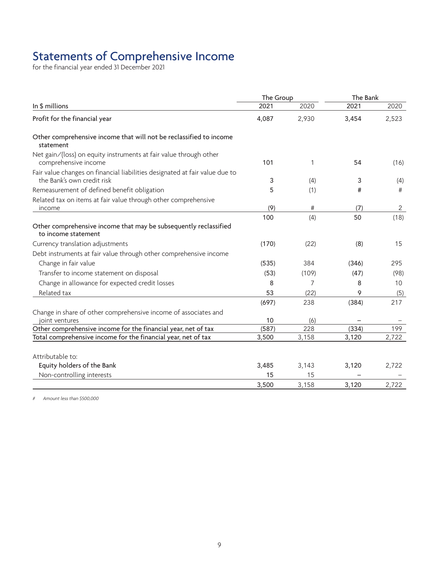# Statements of Comprehensive Income

for the financial year ended 31 December 2021

|                                                                                                           | The Group |       | The Bank |                |
|-----------------------------------------------------------------------------------------------------------|-----------|-------|----------|----------------|
| In \$ millions                                                                                            | 2021      | 2020  | 2021     | 2020           |
| Profit for the financial year                                                                             | 4,087     | 2,930 | 3,454    | 2,523          |
| Other comprehensive income that will not be reclassified to income<br>statement                           |           |       |          |                |
| Net gain/(loss) on equity instruments at fair value through other<br>comprehensive income                 | 101       | 1     | 54       | (16)           |
| Fair value changes on financial liabilities designated at fair value due to<br>the Bank's own credit risk | 3         | (4)   | 3        | (4)            |
| Remeasurement of defined benefit obligation                                                               | 5         | (1)   | #        | #              |
| Related tax on items at fair value through other comprehensive<br>income                                  | (9)       | #     | (7)      | $\overline{2}$ |
|                                                                                                           | 100       | (4)   | 50       | (18)           |
| Other comprehensive income that may be subsequently reclassified<br>to income statement                   |           |       |          |                |
| Currency translation adjustments                                                                          | (170)     | (22)  | (8)      | 15             |
| Debt instruments at fair value through other comprehensive income                                         |           |       |          |                |
| Change in fair value                                                                                      | (535)     | 384   | (346)    | 295            |
| Transfer to income statement on disposal                                                                  | (53)      | (109) | (47)     | (98)           |
| Change in allowance for expected credit losses                                                            | 8         | 7     | 8        | 10             |
| Related tax                                                                                               | 53        | (22)  | 9        | (5)            |
|                                                                                                           | (697)     | 238   | (384)    | 217            |
| Change in share of other comprehensive income of associates and<br>joint ventures                         | 10        | (6)   |          |                |
| Other comprehensive income for the financial year, net of tax                                             | (587)     | 228   | (334)    | 199            |
| Total comprehensive income for the financial year, net of tax                                             | 3,500     | 3,158 | 3,120    | 2,722          |
| Attributable to:                                                                                          |           |       |          |                |
| Equity holders of the Bank                                                                                | 3,485     | 3,143 | 3,120    | 2,722          |
| Non-controlling interests                                                                                 | 15        | 15    |          |                |
|                                                                                                           | 3,500     | 3,158 | 3,120    | 2,722          |

# Amount less than \$500,000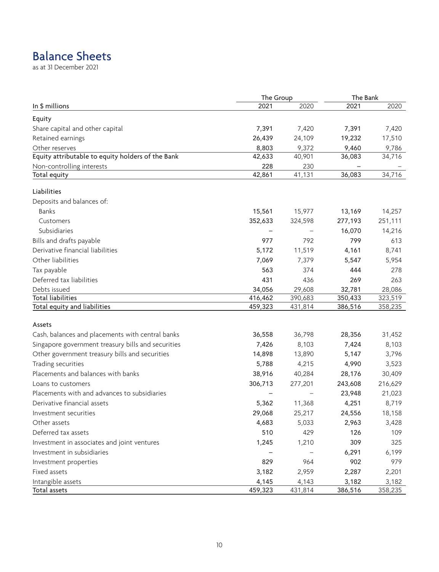# Balance Sheets

as at 31 December 2021

|                                                            | The Group        |                  | The Bank         |                  |
|------------------------------------------------------------|------------------|------------------|------------------|------------------|
| In \$ millions                                             | 2021             | 2020             | 2021             | 2020             |
| Equity                                                     |                  |                  |                  |                  |
| Share capital and other capital                            | 7,391            | 7,420            | 7,391            | 7,420            |
| Retained earnings                                          | 26,439           | 24,109           | 19,232           | 17,510           |
| Other reserves                                             | 8,803            | 9,372            | 9,460            | 9,786            |
| Equity attributable to equity holders of the Bank          | 42,633           | 40,901           | 36,083           | 34,716           |
| Non-controlling interests                                  | 228              | 230              |                  |                  |
| Total equity                                               | 42,861           | 41,131           | 36,083           | 34,716           |
| Liabilities                                                |                  |                  |                  |                  |
| Deposits and balances of:                                  |                  |                  |                  |                  |
| <b>Banks</b>                                               | 15,561           | 15,977           | 13,169           | 14,257           |
| Customers                                                  | 352,633          | 324,598          | 277,193          | 251,111          |
| Subsidiaries                                               |                  |                  | 16,070           | 14,216           |
| Bills and drafts payable                                   | 977              | 792              | 799              | 613              |
| Derivative financial liabilities                           | 5,172            | 11,519           | 4,161            | 8,741            |
| Other liabilities                                          | 7,069            | 7,379            | 5,547            | 5,954            |
| Tax payable                                                | 563              | 374              | 444              | 278              |
| Deferred tax liabilities                                   | 431              | 436              | 269              | 263              |
| Debts issued                                               | 34,056           | 29,608           | 32,781           | 28,086           |
| <b>Total liabilities</b>                                   | 416,462          | 390,683          | 350,433          | 323,519          |
| Total equity and liabilities                               | 459,323          | 431,814          | 386,516          | 358,235          |
|                                                            |                  |                  |                  |                  |
| Assets<br>Cash, balances and placements with central banks | 36,558           | 36,798           | 28,356           | 31,452           |
| Singapore government treasury bills and securities         | 7,426            | 8,103            | 7,424            | 8,103            |
| Other government treasury bills and securities             | 14,898           | 13,890           | 5,147            | 3,796            |
| Trading securities                                         | 5,788            | 4,215            | 4,990            | 3,523            |
| Placements and balances with banks                         | 38,916           | 40,284           | 28,176           | 30,409           |
| Loans to customers                                         | 306,713          | 277,201          | 243,608          | 216,629          |
| Placements with and advances to subsidiaries               |                  |                  | 23,948           | 21,023           |
| Derivative financial assets                                | 5,362            | 11,368           | 4,251            | 8,719            |
| Investment securities                                      | 29,068           | 25,217           | 24,556           | 18,158           |
| Other assets                                               |                  |                  |                  |                  |
| Deferred tax assets                                        | 4,683<br>510     | 5,033            | 2,963<br>126     | 3,428            |
|                                                            |                  | 429              | 309              | 109              |
| Investment in associates and joint ventures                | 1,245            | 1,210            |                  | 325              |
| Investment in subsidiaries                                 |                  |                  | 6,291            | 6,199            |
| Investment properties                                      | 829              | 964              | 902              | 979              |
| Fixed assets                                               | 3,182            | 2,959            | 2,287            | 2,201            |
| Intangible assets<br>Total assets                          | 4,145<br>459,323 | 4,143<br>431,814 | 3,182<br>386,516 | 3,182<br>358,235 |
|                                                            |                  |                  |                  |                  |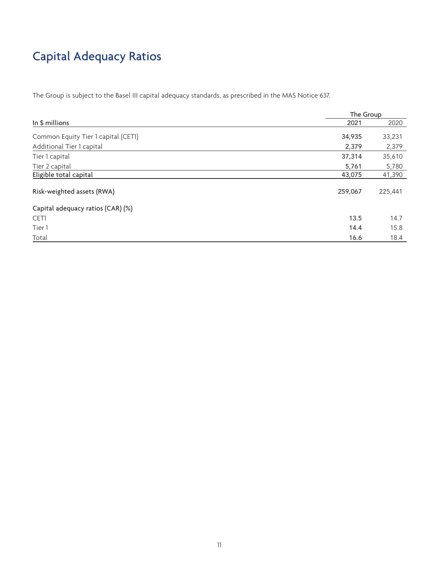# Capital Adequacy Ratios

The Group is subject to the Basel III capital adequacy standards, as prescribed in the MAS Notice 637.

|                                     |         | The Group |  |  |
|-------------------------------------|---------|-----------|--|--|
| In $$$ millions                     | 2021    | 2020      |  |  |
| Common Equity Tier 1 capital (CET1) | 34,935  | 33,231    |  |  |
| Additional Tier 1 capital           | 2,379   | 2,379     |  |  |
| Tier 1 capital                      | 37,314  | 35,610    |  |  |
| Tier 2 capital                      | 5,761   | 5,780     |  |  |
| Eligible total capital              | 43,075  | 41,390    |  |  |
| Risk-weighted assets (RWA)          | 259,067 | 225,441   |  |  |
| Capital adequacy ratios (CAR) (%)   |         |           |  |  |
| CET1                                | 13.5    | 14.7      |  |  |
| Tier 1                              | 14.4    | 15.8      |  |  |
| Total                               | 16.6    | 18.4      |  |  |